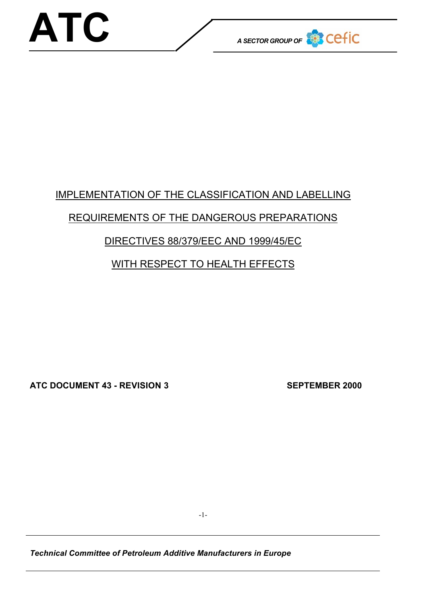

# IMPLEMENTATION OF THE CLASSIFICATION AND LABELLING

## REQUIREMENTS OF THE DANGEROUS PREPARATIONS

### DIRECTIVES 88/379/EEC AND 1999/45/EC

## WITH RESPECT TO HEALTH EFFECTS

**ATC DOCUMENT 43 - REVISION 3 SEPTEMBER 2000**

*Technical Committee of Petroleum Additive Manufacturers in Europe*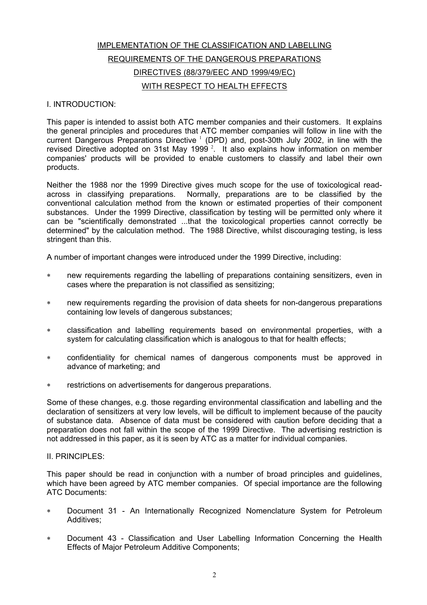### IMPLEMENTATION OF THE CLASSIFICATION AND LABELLING REQUIREMENTS OF THE DANGEROUS PREPARATIONS DIRECTIVES (88/379/EEC AND 1999/49/EC) WITH RESPECT TO HEALTH EFFECTS

#### I. INTRODUCTION:

This paper is intended to assist both ATC member companies and their customers. It explains the general principles and procedures that ATC member companies will follow in line with the current Dangerous Preparations Directive  $1$  (DPD) and, post-30th July 2002, in line with the revised Directive adopted on 31st May 1999  $2$ . It also explains how information on member companies' products will be provided to enable customers to classify and label their own products.

Neither the 1988 nor the 1999 Directive gives much scope for the use of toxicological readacross in classifying preparations. Normally, preparations are to be classified by the conventional calculation method from the known or estimated properties of their component substances. Under the 1999 Directive, classification by testing will be permitted only where it can be "scientifically demonstrated ...that the toxicological properties cannot correctly be determined" by the calculation method. The 1988 Directive, whilst discouraging testing, is less stringent than this.

A number of important changes were introduced under the 1999 Directive, including:

- ∗ new requirements regarding the labelling of preparations containing sensitizers, even in cases where the preparation is not classified as sensitizing;
- new requirements regarding the provision of data sheets for non-dangerous preparations containing low levels of dangerous substances;
- ∗ classification and labelling requirements based on environmental properties, with a system for calculating classification which is analogous to that for health effects;
- ∗ confidentiality for chemical names of dangerous components must be approved in advance of marketing; and
- ∗ restrictions on advertisements for dangerous preparations.

Some of these changes, e.g. those regarding environmental classification and labelling and the declaration of sensitizers at very low levels, will be difficult to implement because of the paucity of substance data. Absence of data must be considered with caution before deciding that a preparation does not fall within the scope of the 1999 Directive. The advertising restriction is not addressed in this paper, as it is seen by ATC as a matter for individual companies.

II. PRINCIPLES:

This paper should be read in conjunction with a number of broad principles and guidelines, which have been agreed by ATC member companies. Of special importance are the following ATC Documents:

- Document 31 An Internationally Recognized Nomenclature System for Petroleum Additives;
- ∗ Document 43 Classification and User Labelling Information Concerning the Health Effects of Major Petroleum Additive Components;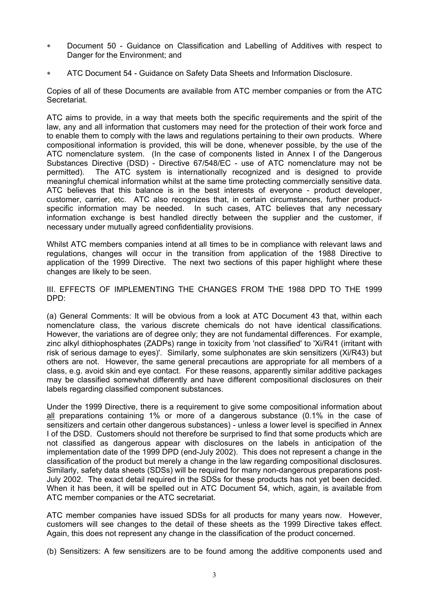- ∗ Document 50 Guidance on Classification and Labelling of Additives with respect to Danger for the Environment; and
- ∗ ATC Document 54 Guidance on Safety Data Sheets and Information Disclosure.

Copies of all of these Documents are available from ATC member companies or from the ATC Secretariat.

ATC aims to provide, in a way that meets both the specific requirements and the spirit of the law, any and all information that customers may need for the protection of their work force and to enable them to comply with the laws and regulations pertaining to their own products. Where compositional information is provided, this will be done, whenever possible, by the use of the ATC nomenclature system. (In the case of components listed in Annex I of the Dangerous Substances Directive (DSD) - Directive 67/548/EC - use of ATC nomenclature may not be permitted). The ATC system is internationally recognized and is designed to provide meaningful chemical information whilst at the same time protecting commercially sensitive data. ATC believes that this balance is in the best interests of everyone - product developer, customer, carrier, etc. ATC also recognizes that, in certain circumstances, further productspecific information may be needed. In such cases, ATC believes that any necessary information exchange is best handled directly between the supplier and the customer, if necessary under mutually agreed confidentiality provisions.

Whilst ATC members companies intend at all times to be in compliance with relevant laws and regulations, changes will occur in the transition from application of the 1988 Directive to application of the 1999 Directive. The next two sections of this paper highlight where these changes are likely to be seen.

III. EFFECTS OF IMPLEMENTING THE CHANGES FROM THE 1988 DPD TO THE 1999 DPD:

(a) General Comments: It will be obvious from a look at ATC Document 43 that, within each nomenclature class, the various discrete chemicals do not have identical classifications. However, the variations are of degree only; they are not fundamental differences. For example, zinc alkyl dithiophosphates (ZADPs) range in toxicity from 'not classified' to 'Xi/R41 (irritant with risk of serious damage to eyes)'. Similarly, some sulphonates are skin sensitizers (Xi/R43) but others are not. However, the same general precautions are appropriate for all members of a class, e.g. avoid skin and eye contact. For these reasons, apparently similar additive packages may be classified somewhat differently and have different compositional disclosures on their labels regarding classified component substances.

Under the 1999 Directive, there is a requirement to give some compositional information about all preparations containing 1% or more of a dangerous substance (0.1% in the case of sensitizers and certain other dangerous substances) - unless a lower level is specified in Annex I of the DSD. Customers should not therefore be surprised to find that some products which are not classified as dangerous appear with disclosures on the labels in anticipation of the implementation date of the 1999 DPD (end-July 2002). This does not represent a change in the classification of the product but merely a change in the law regarding compositional disclosures. Similarly, safety data sheets (SDSs) will be required for many non-dangerous preparations post-July 2002. The exact detail required in the SDSs for these products has not yet been decided. When it has been, it will be spelled out in ATC Document 54, which, again, is available from ATC member companies or the ATC secretariat.

ATC member companies have issued SDSs for all products for many years now. However, customers will see changes to the detail of these sheets as the 1999 Directive takes effect. Again, this does not represent any change in the classification of the product concerned.

(b) Sensitizers: A few sensitizers are to be found among the additive components used and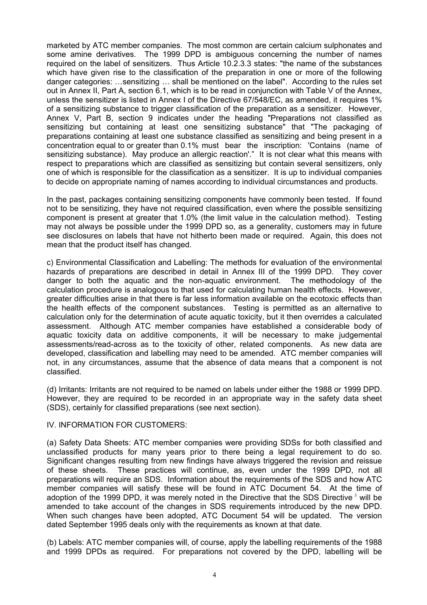marketed by ATC member companies. The most common are certain calcium sulphonates and some amine derivatives. The 1999 DPD is ambiguous concerning the number of names required on the label of sensitizers. Thus Article 10.2.3.3 states: "the name of the substances which have given rise to the classification of the preparation in one or more of the following danger categories: …sensitizing … shall be mentioned on the label". According to the rules set out in Annex II, Part A, section 6.1, which is to be read in conjunction with Table V of the Annex, unless the sensitizer is listed in Annex I of the Directive 67/548/EC, as amended, it requires 1% of a sensitizing substance to trigger classification of the preparation as a sensitizer. However, Annex V, Part B, section 9 indicates under the heading "Preparations not classified as sensitizing but containing at least one sensitizing substance" that "The packaging of preparations containing at least one substance classified as sensitizing and being present in a concentration equal to or greater than 0.1% must bear the inscription: 'Contains (name of sensitizing substance). May produce an allergic reaction'." It is not clear what this means with respect to preparations which are classified as sensitizing but contain several sensitizers, only one of which is responsible for the classification as a sensitizer. It is up to individual companies to decide on appropriate naming of names according to individual circumstances and products.

In the past, packages containing sensitizing components have commonly been tested. If found not to be sensitizing, they have not required classification, even where the possible sensitizing component is present at greater that 1.0% (the limit value in the calculation method). Testing may not always be possible under the 1999 DPD so, as a generality, customers may in future see disclosures on labels that have not hitherto been made or required. Again, this does not mean that the product itself has changed.

c) Environmental Classification and Labelling: The methods for evaluation of the environmental hazards of preparations are described in detail in Annex III of the 1999 DPD. They cover danger to both the aquatic and the non-aquatic environment. The methodology of the calculation procedure is analogous to that used for calculating human health effects. However, greater difficulties arise in that there is far less information available on the ecotoxic effects than the health effects of the component substances. Testing is permitted as an alternative to calculation only for the determination of acute aquatic toxicity, but it then overrides a calculated assessment. Although ATC member companies have established a considerable body of aquatic toxicity data on additive components, it will be necessary to make judgemental assessments/read-across as to the toxicity of other, related components. As new data are developed, classification and labelling may need to be amended. ATC member companies will not, in any circumstances, assume that the absence of data means that a component is not classified.

(d) Irritants: Irritants are not required to be named on labels under either the 1988 or 1999 DPD. However, they are required to be recorded in an appropriate way in the safety data sheet (SDS), certainly for classified preparations (see next section).

#### IV. INFORMATION FOR CUSTOMERS:

(a) Safety Data Sheets: ATC member companies were providing SDSs for both classified and unclassified products for many years prior to there being a legal requirement to do so. Significant changes resulting from new findings have always triggered the revision and reissue of these sheets. These practices will continue, as, even under the 1999 DPD, not all preparations will require an SDS. Information about the requirements of the SDS and how ATC member companies will satisfy these will be found in ATC Document 54. At the time of adoption of the 1999 DPD, it was merely noted in the Directive that the SDS Directive  $3$  will be amended to take account of the changes in SDS requirements introduced by the new DPD. When such changes have been adopted, ATC Document 54 will be updated. The version dated September 1995 deals only with the requirements as known at that date.

(b) Labels: ATC member companies will, of course, apply the labelling requirements of the 1988 and 1999 DPDs as required. For preparations not covered by the DPD, labelling will be